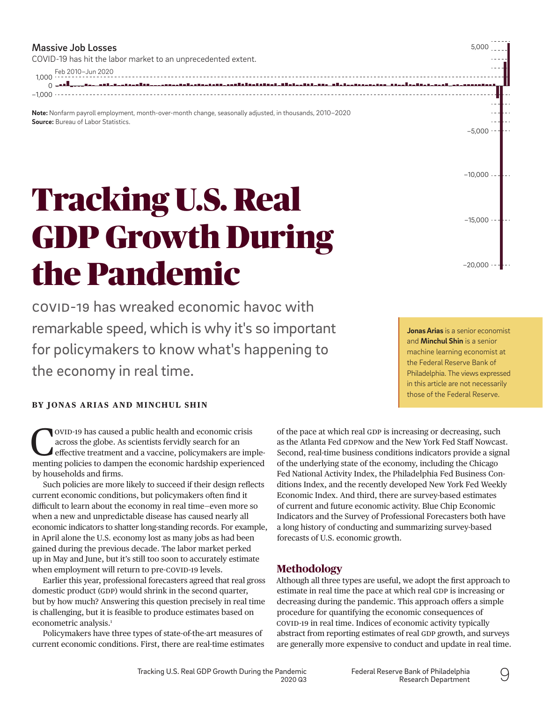#### Massive Job Losses

COVID-19 has hit the labor market to an unprecedented extent.

1,000 Feb 2010–Jun 2020 العب 0, astattikatsa telkastilisti televisi alainalti kita tihaksi sessa itaaliseksessa. <u>an Banaan aan Bina</u> −1,000

**Note:** Nonfarm payroll employment, month-over-month change, seasonally adjusted, in thousands, 2010–2020 **Source:** Bureau of Labor Statistics.

# Tracking U.S. Real GDP Growth During the Pandemic

COVID-19 has wreaked economic havoc with remarkable speed, which is why it's so important for policymakers to know what's happening to the economy in real time.

**[Jonas Arias](https://www.philadelphiafed.org/research-and-data/economists/arias)** is a senior economist and **[Minchul Shin](https://www.philadelphiafed.org/research-and-data/economists/shin)** is a senior machine learning economist at the Federal Reserve Bank of Philadelphia. The views expressed in this article are not necessarily those of the Federal Reserve.

−20,000

 $-15,000 -$ 

 $-10,000 -$ 

 $-5.000 -$ 

5,000

# **BY [JONAS ARIAS](https://www.philadelphiafed.org/research-and-data/economists/arias) AND [MINCHUL SHIN](https://www.philadelphiafed.org/research-and-data/economists/shin)**

OVID-19 has caused a public health and economic crisis<br>
across the globe. As scientists fervidly search for an<br>
effective treatment and a vaccine, policymakers are imple-<br>
menting policies to dampen the economic bardebin e across the globe. As scientists fervidly search for an menting policies to dampen the economic hardship experienced by households and firms.

Such policies are more likely to succeed if their design reflects current economic conditions, but policymakers often find it difficult to learn about the economy in real time—even more so when a new and unpredictable disease has caused nearly all economic indicators to shatter long-standing records. For example, in April alone the U.S. economy lost as many jobs as had been gained during the previous decade. The labor market perked up in May and June, but it's still too soon to accurately estimate when employment will return to pre-COVID-19 levels.

Earlier this year, professional forecasters agreed that real gross domestic product (GDP) would shrink in the second quarter, but by how much? Answering this question precisely in real time is challenging, but it is feasible to produce estimates based on econometric analysis.<sup>[1](#page-4-0)</sup>

Policymakers have three types of state-of-the-art measures of current economic conditions. First, there are real-time estimates of the pace at which real GDP is increasing or decreasing, such as the Atlanta Fed GDPNow and the New York Fed Staff Nowcast. Second, real-time business conditions indicators provide a signal of the underlying state of the economy, including the Chicago Fed National Activity Index, the Philadelphia Fed Business Conditions Index, and the recently developed New York Fed Weekly Economic Index. And third, there are survey-based estimates of current and future economic activity. Blue Chip Economic Indicators and the Survey of Professional Forecasters both have a long history of conducting and summarizing survey-based forecasts of U.S. economic growth.

# **Methodology**

Although all three types are useful, we adopt the first approach to estimate in real time the pace at which real GDP is increasing or decreasing during the pandemic. This approach offers a simple procedure for quantifying the economic consequences of COVID-19 in real time. Indices of economic activity typically abstract from reporting estimates of real GDP growth, and surveys are generally more expensive to conduct and update in real time.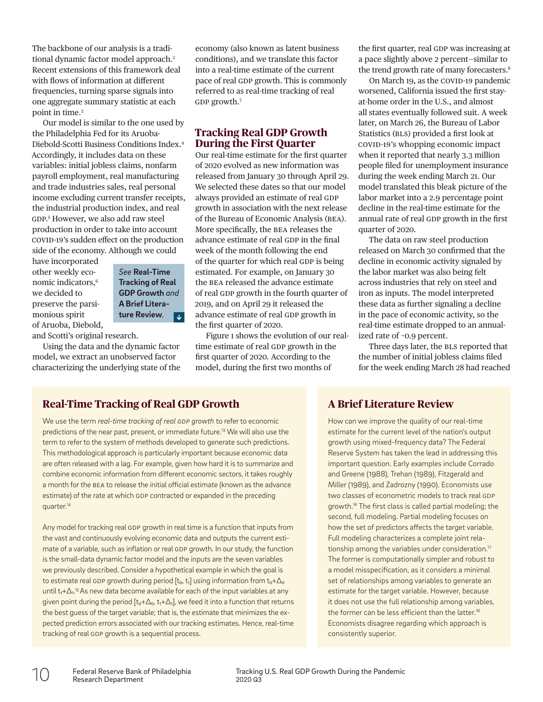The backbone of our analysis is a tradi-tional dynamic factor model approach.<sup>[2](#page-4-1)</sup> Recent extensions of this framework deal with flows of information at different frequencies, turning sparse signals into one aggregate summary statistic at each point in time[.3](#page-4-2)

Our model is similar to the one used by the Philadelphia Fed for its Aruoba-Diebold-Scotti Business Conditions Index.[4](#page-4-3) Accordingly, it includes data on these variables: initial jobless claims, nonfarm payroll employment, real manufacturing and trade industries sales, real personal income excluding current transfer receipts, the industrial production index, and real GDP. [5](#page-4-4) However, we also add raw steel production in order to take into account COVID-19's sudden effect on the production side of the economy. Although we could

have incorporated other weekly eco-nomic indicators.<sup>[6](#page-4-5)</sup> we decided to preserve the parsimonious spirit of Aruoba, Diebold,

*See* **Real-Time [Tracking of Real](#page-1-0)  GDP Growth** *and*  **A Brief Literature Review***.*

and Scotti's original research.

Using the data and the dynamic factor model, we extract an unobserved factor characterizing the underlying state of the

economy (also known as latent business conditions), and we translate this factor into a real-time estimate of the current pace of real GDP growth. This is commonly referred to as real-time tracking of real GDP growth[.7](#page-4-6)

# **Tracking Real GDP Growth During the First Quarter**

Our real-time estimate for the first quarter of 2020 evolved as new information was released from January 30 through April 29. We selected these dates so that our model always provided an estimate of real GDP growth in association with the next release of the Bureau of Economic Analysis (BEA). More specifically, the BEA releases the advance estimate of real GDP in the final week of the month following the end of the quarter for which real GDP is being estimated. For example, on January 30 the BEA released the advance estimate of real GDP growth in the fourth quarter of 2019, and on April 29 it released the advance estimate of real GDP growth in the first quarter of 2020.

Figure 1 shows the evolution of our realtime estimate of real GDP growth in the first quarter of 2020. According to the model, during the first two months of

the first quarter, real GDP was increasing at a pace slightly above 2 percent—similar to the trend growth rate of many forecasters.<sup>8</sup>

On March 19, as the COVID-19 pandemic worsened, California issued the first stayat-home order in the U.S., and almost all states eventually followed suit. A week later, on March 26, the Bureau of Labor Statistics (BLS) provided a first look at COVID-19's whopping economic impact when it reported that nearly 3.3 million people filed for unemployment insurance during the week ending March 21. Our model translated this bleak picture of the labor market into a 2.9 percentage point decline in the real-time estimate for the annual rate of real GDP growth in the first quarter of 2020.

The data on raw steel production released on March 30 confirmed that the decline in economic activity signaled by the labor market was also being felt across industries that rely on steel and iron as inputs. The model interpreted these data as further signaling a decline in the pace of economic activity, so the real-time estimate dropped to an annualized rate of −0.9 percent.

Three days later, the BLS reported that the number of initial jobless claims filed for the week ending March 28 had reached

# <span id="page-1-0"></span>**Real-Time Tracking of Real GDP Growth**

We use the term *real-time tracking of real GDP growth* to refer to economic predictions of the near past, present, or immediate future[.13](#page-4-8) We will also use the term to refer to the system of methods developed to generate such predictions. This methodological approach is particularly important because economic data are often released with a lag. For example, given how hard it is to summarize and combine economic information from different economic sectors, it takes roughly a month for the BEA to release the initial official estimate (known as the advance estimate) of the rate at which GDP contracted or expanded in the preceding quarter[.14](#page-4-9)

Any model for tracking real GDP growth in real time is a function that inputs from the vast and continuously evolving economic data and outputs the current estimate of a variable, such as inflation or real GDP growth. In our study, the function is the small-data dynamic factor model and the inputs are the seven variables we previously described. Consider a hypothetical example in which the goal is to estimate real GDP growth during period  $[t_0, t_1]$  using information from  $t_0+\Delta_0$ until t<sub>1</sub>+∆<sub>1</sub>.<sup>[15](#page-4-10)</sup> As new data become available for each of the input variables at any given point during the period  $[t_0+\Delta_0, t_1+\Delta_1]$ , we feed it into a function that returns the best guess of the target variable; that is, the estimate that minimizes the expected prediction errors associated with our tracking estimates. Hence, real-time tracking of real GDP growth is a sequential process.

# **A Brief Literature Review**

How can we improve the quality of our real-time estimate for the current level of the nation's output growth using mixed-frequency data? The Federal Reserve System has taken the lead in addressing this important question. Early examples include Corrado and Greene (1988), Trehan (1989), Fitzgerald and Miller (1989), and Zadrozny (1990). Economists use two classes of econometric models to track real GDP growth[.16](#page-4-11) The first class is called partial modeling; the second, full modeling. Partial modeling focuses on how the set of predictors affects the target variable. Full modeling characterizes a complete joint relationship among the variables under consideration.<sup>17</sup> The former is computationally simpler and robust to a model misspecification, as it considers a minimal set of relationships among variables to generate an estimate for the target variable. However, because it does not use the full relationship among variables, the former can be less efficient than the latter.<sup>18</sup> Economists disagree regarding which approach is consistently superior.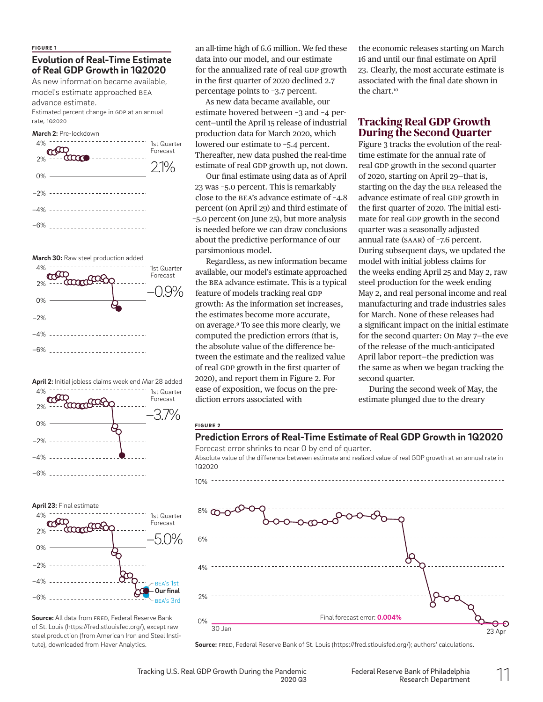# **Evolution of Real-Time Estimate of Real GDP Growth in 1Q2020**

As new information became available, model's estimate approached BEA

advance estimate.

Estimated percent change in GDP at an annual rate, 1Q2020











**Source:** All data from FRED, Federal Reserve Bank of St. Louis (<https://fred.stlouisfed.org/>), except raw steel production (from American Iron and Steel Institute), downloaded from Haver Analytics.

an all-time high of 6.6 million. We fed these data into our model, and our estimate for the annualized rate of real GDP growth in the first quarter of 2020 declined 2.7 percentage points to −3.7 percent.

As new data became available, our estimate hovered between −3 and −4 percent—until the April 15 release of industrial production data for March 2020, which lowered our estimate to −5.4 percent. Thereafter, new data pushed the real-time estimate of real GDP growth up, not down.

Our final estimate using data as of April 23 was −5.0 percent. This is remarkably close to the BEA's advance estimate of −4.8 percent (on April 29) and third estimate of −5.0 percent (on June 25), but more analysis is needed before we can draw conclusions about the predictive performance of our parsimonious model.

Regardless, as new information became available, our model's estimate approached the BEA advance estimate. This is a typical feature of models tracking real GDP growth: As the information set increases, the estimates become more accurate, on average.[9](#page-4-13) To see this more clearly, we computed the prediction errors (that is, the absolute value of the difference between the estimate and the realized value of real GDP growth in the first quarter of 2020), and report them in Figure 2. For ease of exposition, we focus on the prediction errors associated with

the economic releases starting on March 16 and until our final estimate on April 23. Clearly, the most accurate estimate is associated with the final date shown in the chart.<sup>10</sup>

# **Tracking Real GDP Growth During the Second Quarter**

Figure 3 tracks the evolution of the realtime estimate for the annual rate of real GDP growth in the second quarter of 2020, starting on April 29—that is, starting on the day the BEA released the advance estimate of real GDP growth in the first quarter of 2020. The initial estimate for real GDP growth in the second quarter was a seasonally adjusted annual rate (SAAR) of −7.6 percent. During subsequent days, we updated the model with initial jobless claims for the weeks ending April 25 and May 2, raw steel production for the week ending May 2, and real personal income and real manufacturing and trade industries sales for March. None of these releases had a significant impact on the initial estimate for the second quarter: On May 7—the eve of the release of the much-anticipated April labor report—the prediction was the same as when we began tracking the second quarter.

During the second week of May, the estimate plunged due to the dreary

#### FIGURE 2

 $10\% -$ 

1Q2020

#### **Prediction Errors of Real-Time Estimate of Real GDP Growth in 1Q2020**

Forecast error shrinks to near 0 by end of quarter. Absolute value of the difference between estimate and realized value of real GDP growth at an annual rate in



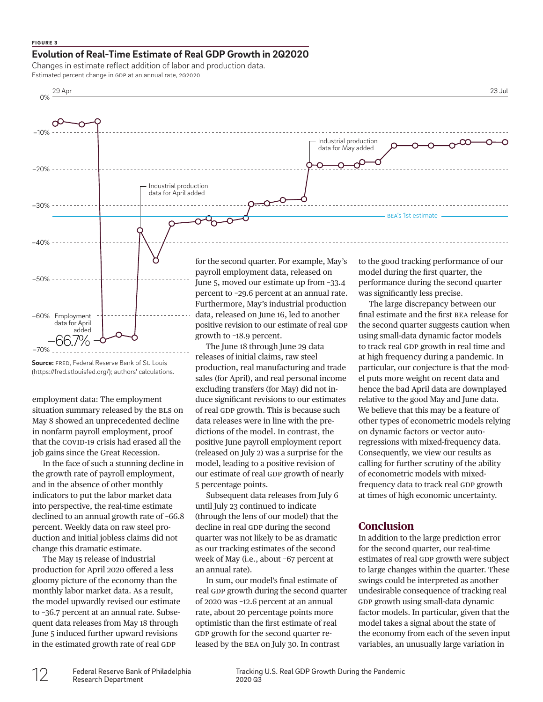#### FIGURE 3

## **Evolution of Real-Time Estimate of Real GDP Growth in 2Q2020**

Changes in estimate reflect addition of labor and production data. Estimated percent change in GDP at an annual rate, 2Q2020



**Source:** FRED, Federal Reserve Bank of St. Louis [\(https://fred.stlouisfed.org/\)](https://fred.stlouisfed.org/); authors' calculations.

employment data: The employment situation summary released by the BLS on May 8 showed an unprecedented decline in nonfarm payroll employment, proof that the COVID-19 crisis had erased all the job gains since the Great Recession.

In the face of such a stunning decline in the growth rate of payroll employment, and in the absence of other monthly indicators to put the labor market data into perspective, the real-time estimate declined to an annual growth rate of −66.8 percent. Weekly data on raw steel production and initial jobless claims did not change this dramatic estimate.

The May 15 release of industrial production for April 2020 offered a less gloomy picture of the economy than the monthly labor market data. As a result, the model upwardly revised our estimate to −36.7 percent at an annual rate. Subsequent data releases from May 18 through June 5 induced further upward revisions in the estimated growth rate of real GDP

production, real manufacturing and trade sales (for April), and real personal income excluding transfers (for May) did not induce significant revisions to our estimates of real GDP growth. This is because such data releases were in line with the predictions of the model. In contrast, the positive June payroll employment report (released on July 2) was a surprise for the model, leading to a positive revision of our estimate of real GDP growth of nearly 5 percentage points.

Subsequent data releases from July 6 until July 23 continued to indicate (through the lens of our model) that the decline in real GDP during the second quarter was not likely to be as dramatic as our tracking estimates of the second week of May (i.e., about −67 percent at an annual rate).

In sum, our model's final estimate of real GDP growth during the second quarter of 2020 was −12.6 percent at an annual rate, about 20 percentage points more optimistic than the first estimate of real GDP growth for the second quarter released by the BEA on July 30. In contrast

particular, our conjecture is that the model puts more weight on recent data and hence the bad April data are downplayed relative to the good May and June data. We believe that this may be a feature of other types of econometric models relying on dynamic factors or vector autoregressions with mixed-frequency data. Consequently, we view our results as calling for further scrutiny of the ability of econometric models with mixedfrequency data to track real GDP growth at times of high economic uncertainty.

## **Conclusion**

In addition to the large prediction error for the second quarter, our real-time estimates of real GDP growth were subject to large changes within the quarter. These swings could be interpreted as another undesirable consequence of tracking real GDP growth using small-data dynamic factor models. In particular, given that the model takes a signal about the state of the economy from each of the seven input variables, an unusually large variation in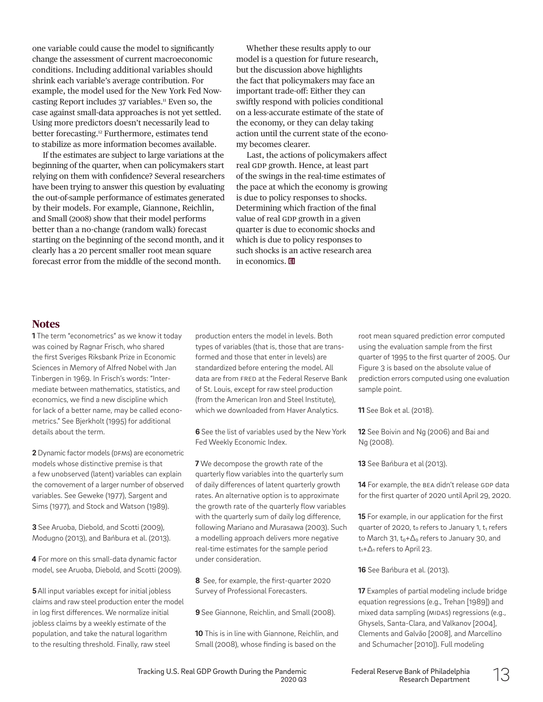one variable could cause the model to significantly change the assessment of current macroeconomic conditions. Including additional variables should shrink each variable's average contribution. For example, the model used for the New York Fed Nowcasting Report includes 37 variables.<sup>11</sup> Even so, the case against small-data approaches is not yet settled. Using more predictors doesn't necessarily lead to better forecasting.<sup>[12](#page-4-16)</sup> Furthermore, estimates tend to stabilize as more information becomes available.

If the estimates are subject to large variations at the beginning of the quarter, when can policymakers start relying on them with confidence? Several researchers have been trying to answer this question by evaluating the out-of-sample performance of estimates generated by their models. For example, Giannone, Reichlin, and Small (2008) show that their model performs better than a no-change (random walk) forecast starting on the beginning of the second month, and it clearly has a 20 percent smaller root mean square forecast error from the middle of the second month.

Whether these results apply to our model is a question for future research, but the discussion above highlights the fact that policymakers may face an important trade-off: Either they can swiftly respond with policies conditional on a less-accurate estimate of the state of the economy, or they can delay taking action until the current state of the economy becomes clearer.

Last, the actions of policymakers affect real GDP growth. Hence, at least part of the swings in the real-time estimates of the pace at which the economy is growing is due to policy responses to shocks. Determining which fraction of the final value of real GDP growth in a given quarter is due to economic shocks and which is due to policy responses to such shocks is an active research area in economics. **国** 

# **Notes**

<span id="page-4-0"></span>**1** The term "econometrics" as we know it today was coined by Ragnar Frisch, who shared the first Sveriges Riksbank Prize in Economic Sciences in Memory of Alfred Nobel with Jan Tinbergen in 1969. In Frisch's words: "Intermediate between mathematics, statistics, and economics, we find a new discipline which for lack of a better name, may be called econometrics." See Bjerkholt (1995) for additional details about the term.

<span id="page-4-1"></span>**2** Dynamic factor models (DFMs) are econometric models whose distinctive premise is that a few unobserved (latent) variables can explain the comovement of a larger number of observed variables. See Geweke (1977), Sargent and Sims (1977), and Stock and Watson (1989).

<span id="page-4-2"></span>**3** See Aruoba, Diebold, and Scotti (2009), Modugno (2013), and Bańbura et al. (2013).

<span id="page-4-3"></span>**4** For more on this small-data dynamic factor model, see Aruoba, Diebold, and Scotti (2009).

<span id="page-4-4"></span>**5** All input variables except for initial jobless claims and raw steel production enter the model in log first differences. We normalize initial jobless claims by a weekly estimate of the population, and take the natural logarithm to the resulting threshold. Finally, raw steel

production enters the model in levels. Both types of variables (that is, those that are transformed and those that enter in levels) are standardized before entering the model. All data are from FRED at the Federal Reserve Bank of St. Louis, except for raw steel production (from the American Iron and Steel Institute), which we downloaded from Haver Analytics.

<span id="page-4-5"></span>**6** See the list of variables used by the New York Fed Weekly Economic Index.

<span id="page-4-6"></span>**7** We decompose the growth rate of the quarterly flow variables into the quarterly sum of daily differences of latent quarterly growth rates. An alternative option is to approximate the growth rate of the quarterly flow variables with the quarterly sum of daily log difference, following Mariano and Murasawa (2003). Such a modelling approach delivers more negative real-time estimates for the sample period under consideration.

<span id="page-4-7"></span>**8** See, for example, the first-quarter 2020 Survey of Professional Forecasters.

<span id="page-4-13"></span>**9** See Giannone, Reichlin, and Small (2008).

<span id="page-4-14"></span>**10** This is in line with Giannone, Reichlin, and Small (2008), whose finding is based on the

root mean squared prediction error computed using the evaluation sample from the first quarter of 1995 to the first quarter of 2005. Our Figure 3 is based on the absolute value of prediction errors computed using one evaluation sample point.

<span id="page-4-15"></span>**11** See Bok et al. (2018).

<span id="page-4-16"></span>**12** See Boivin and Ng (2006) and Bai and Ng (2008).

<span id="page-4-8"></span>**13** See Bańbura et al (2013).

<span id="page-4-9"></span>**14** For example, the BEA didn't release GDP data for the first quarter of 2020 until April 29, 2020.

<span id="page-4-10"></span>**15** For example, in our application for the first quarter of 2020, to refers to January 1, t<sub>1</sub> refers to March 31, t<sub>0</sub>+∆<sub>0</sub> refers to January 30, and t<sub>1</sub>+∆<sub>1</sub> refers to April 23.

<span id="page-4-11"></span>**16** See Bańbura et al. (2013).

<span id="page-4-12"></span>**17** Examples of partial modeling include bridge equation regressions (e.g., Trehan [1989]) and mixed data sampling (MIDAS) regressions (e.g., Ghysels, Santa-Clara, and Valkanov [2004], Clements and Galvão [2008], and Marcellino and Schumacher [2010]). Full modeling